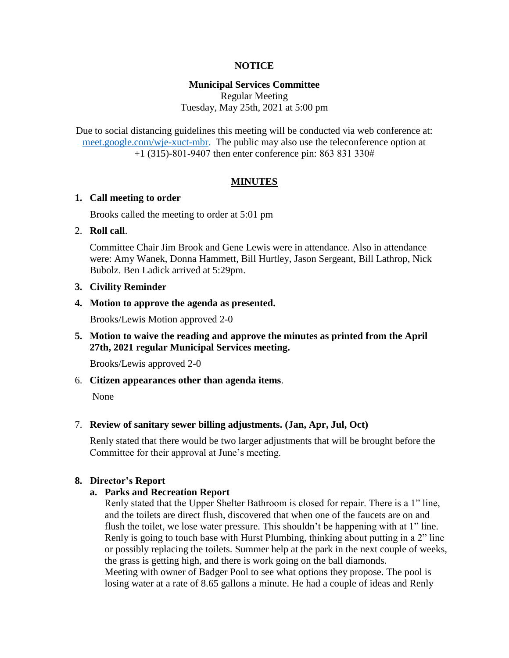### **NOTICE**

### **Municipal Services Committee**

Regular Meeting Tuesday, May 25th, 2021 at 5:00 pm

Due to social distancing guidelines this meeting will be conducted via web conference at: [meet.google.com/wje-xuct-mbr.](file://///fs01/cityhall/Minutes%20&%20Agendas/Municipal%20Services%20Committee/2021%20MSC%20Agendas/meet.google.com/wje-xuct-mbr) The public may also use the teleconference option at +1 (315)-801-9407 then enter conference pin: 863 831 330#

### **MINUTES**

### **1. Call meeting to order**

Brooks called the meeting to order at 5:01 pm

### 2. **Roll call**.

Committee Chair Jim Brook and Gene Lewis were in attendance. Also in attendance were: Amy Wanek, Donna Hammett, Bill Hurtley, Jason Sergeant, Bill Lathrop, Nick Bubolz. Ben Ladick arrived at 5:29pm.

### **3. Civility Reminder**

### **4. Motion to approve the agenda as presented.**

Brooks/Lewis Motion approved 2-0

**5. Motion to waive the reading and approve the minutes as printed from the April 27th, 2021 regular Municipal Services meeting.**

Brooks/Lewis approved 2-0

6. **Citizen appearances other than agenda items**.

None

### 7. **Review of sanitary sewer billing adjustments. (Jan, Apr, Jul, Oct)**

Renly stated that there would be two larger adjustments that will be brought before the Committee for their approval at June's meeting.

### **8. Director's Report**

#### **a. Parks and Recreation Report**

Renly stated that the Upper Shelter Bathroom is closed for repair. There is a 1" line, and the toilets are direct flush, discovered that when one of the faucets are on and flush the toilet, we lose water pressure. This shouldn't be happening with at 1" line. Renly is going to touch base with Hurst Plumbing, thinking about putting in a 2" line or possibly replacing the toilets. Summer help at the park in the next couple of weeks, the grass is getting high, and there is work going on the ball diamonds. Meeting with owner of Badger Pool to see what options they propose. The pool is losing water at a rate of 8.65 gallons a minute. He had a couple of ideas and Renly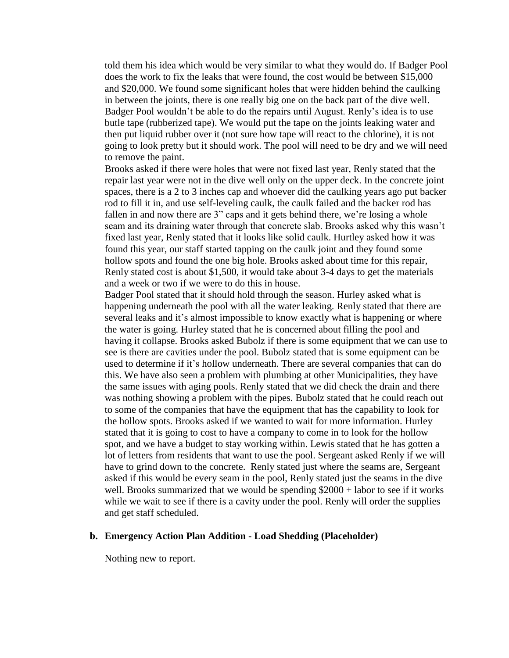told them his idea which would be very similar to what they would do. If Badger Pool does the work to fix the leaks that were found, the cost would be between \$15,000 and \$20,000. We found some significant holes that were hidden behind the caulking in between the joints, there is one really big one on the back part of the dive well. Badger Pool wouldn't be able to do the repairs until August. Renly's idea is to use butle tape (rubberized tape). We would put the tape on the joints leaking water and then put liquid rubber over it (not sure how tape will react to the chlorine), it is not going to look pretty but it should work. The pool will need to be dry and we will need to remove the paint.

Brooks asked if there were holes that were not fixed last year, Renly stated that the repair last year were not in the dive well only on the upper deck. In the concrete joint spaces, there is a 2 to 3 inches cap and whoever did the caulking years ago put backer rod to fill it in, and use self-leveling caulk, the caulk failed and the backer rod has fallen in and now there are 3" caps and it gets behind there, we're losing a whole seam and its draining water through that concrete slab. Brooks asked why this wasn't fixed last year, Renly stated that it looks like solid caulk. Hurtley asked how it was found this year, our staff started tapping on the caulk joint and they found some hollow spots and found the one big hole. Brooks asked about time for this repair, Renly stated cost is about \$1,500, it would take about 3-4 days to get the materials and a week or two if we were to do this in house.

Badger Pool stated that it should hold through the season. Hurley asked what is happening underneath the pool with all the water leaking. Renly stated that there are several leaks and it's almost impossible to know exactly what is happening or where the water is going. Hurley stated that he is concerned about filling the pool and having it collapse. Brooks asked Bubolz if there is some equipment that we can use to see is there are cavities under the pool. Bubolz stated that is some equipment can be used to determine if it's hollow underneath. There are several companies that can do this. We have also seen a problem with plumbing at other Municipalities, they have the same issues with aging pools. Renly stated that we did check the drain and there was nothing showing a problem with the pipes. Bubolz stated that he could reach out to some of the companies that have the equipment that has the capability to look for the hollow spots. Brooks asked if we wanted to wait for more information. Hurley stated that it is going to cost to have a company to come in to look for the hollow spot, and we have a budget to stay working within. Lewis stated that he has gotten a lot of letters from residents that want to use the pool. Sergeant asked Renly if we will have to grind down to the concrete. Renly stated just where the seams are, Sergeant asked if this would be every seam in the pool, Renly stated just the seams in the dive well. Brooks summarized that we would be spending \$2000 + labor to see if it works while we wait to see if there is a cavity under the pool. Renly will order the supplies and get staff scheduled.

#### **b. Emergency Action Plan Addition - Load Shedding (Placeholder)**

Nothing new to report.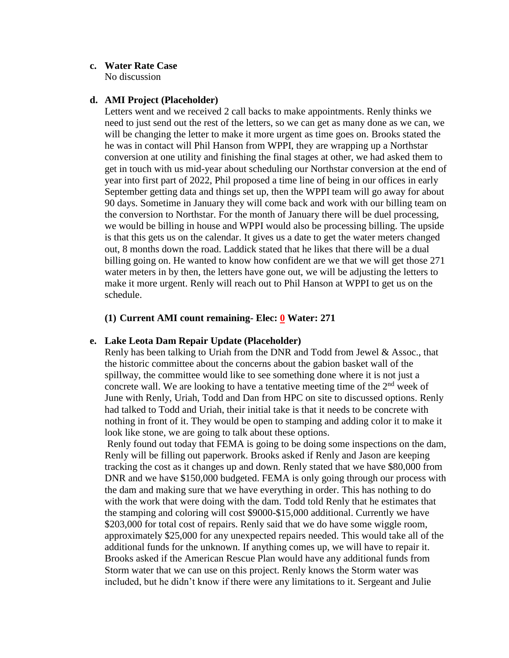### **c. Water Rate Case**

No discussion

### **d. AMI Project (Placeholder)**

Letters went and we received 2 call backs to make appointments. Renly thinks we need to just send out the rest of the letters, so we can get as many done as we can, we will be changing the letter to make it more urgent as time goes on. Brooks stated the he was in contact will Phil Hanson from WPPI, they are wrapping up a Northstar conversion at one utility and finishing the final stages at other, we had asked them to get in touch with us mid-year about scheduling our Northstar conversion at the end of year into first part of 2022, Phil proposed a time line of being in our offices in early September getting data and things set up, then the WPPI team will go away for about 90 days. Sometime in January they will come back and work with our billing team on the conversion to Northstar. For the month of January there will be duel processing, we would be billing in house and WPPI would also be processing billing. The upside is that this gets us on the calendar. It gives us a date to get the water meters changed out, 8 months down the road. Laddick stated that he likes that there will be a dual billing going on. He wanted to know how confident are we that we will get those 271 water meters in by then, the letters have gone out, we will be adjusting the letters to make it more urgent. Renly will reach out to Phil Hanson at WPPI to get us on the schedule.

### **(1) Current AMI count remaining- Elec: 0 Water: 271**

### **e. Lake Leota Dam Repair Update (Placeholder)**

Renly has been talking to Uriah from the DNR and Todd from Jewel & Assoc., that the historic committee about the concerns about the gabion basket wall of the spillway, the committee would like to see something done where it is not just a concrete wall. We are looking to have a tentative meeting time of the  $2<sup>nd</sup>$  week of June with Renly, Uriah, Todd and Dan from HPC on site to discussed options. Renly had talked to Todd and Uriah, their initial take is that it needs to be concrete with nothing in front of it. They would be open to stamping and adding color it to make it look like stone, we are going to talk about these options.

Renly found out today that FEMA is going to be doing some inspections on the dam, Renly will be filling out paperwork. Brooks asked if Renly and Jason are keeping tracking the cost as it changes up and down. Renly stated that we have \$80,000 from DNR and we have \$150,000 budgeted. FEMA is only going through our process with the dam and making sure that we have everything in order. This has nothing to do with the work that were doing with the dam. Todd told Renly that he estimates that the stamping and coloring will cost \$9000-\$15,000 additional. Currently we have \$203,000 for total cost of repairs. Renly said that we do have some wiggle room, approximately \$25,000 for any unexpected repairs needed. This would take all of the additional funds for the unknown. If anything comes up, we will have to repair it. Brooks asked if the American Rescue Plan would have any additional funds from Storm water that we can use on this project. Renly knows the Storm water was included, but he didn't know if there were any limitations to it. Sergeant and Julie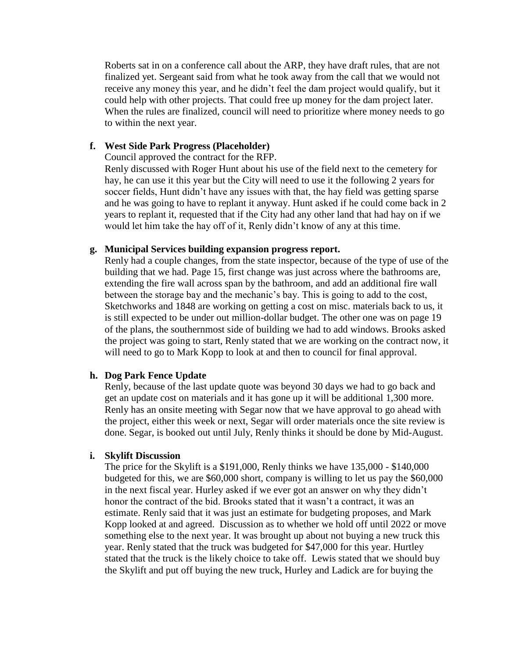Roberts sat in on a conference call about the ARP, they have draft rules, that are not finalized yet. Sergeant said from what he took away from the call that we would not receive any money this year, and he didn't feel the dam project would qualify, but it could help with other projects. That could free up money for the dam project later. When the rules are finalized, council will need to prioritize where money needs to go to within the next year.

### **f. West Side Park Progress (Placeholder)**

Council approved the contract for the RFP.

Renly discussed with Roger Hunt about his use of the field next to the cemetery for hay, he can use it this year but the City will need to use it the following 2 years for soccer fields, Hunt didn't have any issues with that, the hay field was getting sparse and he was going to have to replant it anyway. Hunt asked if he could come back in 2 years to replant it, requested that if the City had any other land that had hay on if we would let him take the hay off of it, Renly didn't know of any at this time.

### **g. Municipal Services building expansion progress report.**

Renly had a couple changes, from the state inspector, because of the type of use of the building that we had. Page 15, first change was just across where the bathrooms are, extending the fire wall across span by the bathroom, and add an additional fire wall between the storage bay and the mechanic's bay. This is going to add to the cost, Sketchworks and 1848 are working on getting a cost on misc. materials back to us, it is still expected to be under out million-dollar budget. The other one was on page 19 of the plans, the southernmost side of building we had to add windows. Brooks asked the project was going to start, Renly stated that we are working on the contract now, it will need to go to Mark Kopp to look at and then to council for final approval.

### **h. Dog Park Fence Update**

Renly, because of the last update quote was beyond 30 days we had to go back and get an update cost on materials and it has gone up it will be additional 1,300 more. Renly has an onsite meeting with Segar now that we have approval to go ahead with the project, either this week or next, Segar will order materials once the site review is done. Segar, is booked out until July, Renly thinks it should be done by Mid-August.

### **i. Skylift Discussion**

The price for the Skylift is a \$191,000, Renly thinks we have 135,000 - \$140,000 budgeted for this, we are \$60,000 short, company is willing to let us pay the \$60,000 in the next fiscal year. Hurley asked if we ever got an answer on why they didn't honor the contract of the bid. Brooks stated that it wasn't a contract, it was an estimate. Renly said that it was just an estimate for budgeting proposes, and Mark Kopp looked at and agreed. Discussion as to whether we hold off until 2022 or move something else to the next year. It was brought up about not buying a new truck this year. Renly stated that the truck was budgeted for \$47,000 for this year. Hurtley stated that the truck is the likely choice to take off. Lewis stated that we should buy the Skylift and put off buying the new truck, Hurley and Ladick are for buying the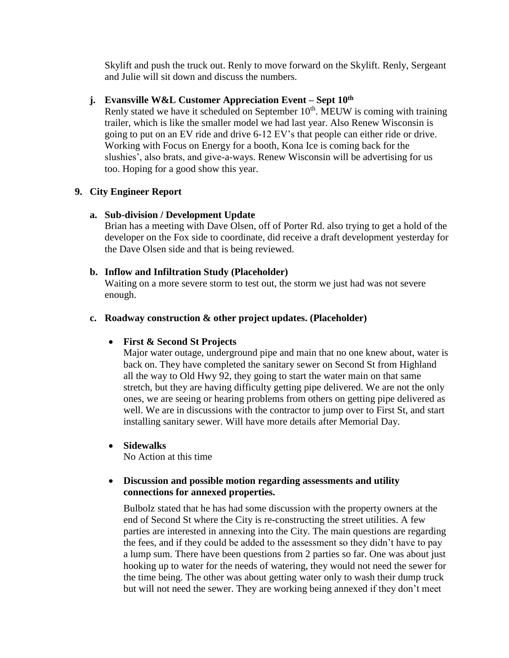Skylift and push the truck out. Renly to move forward on the Skylift. Renly, Sergeant and Julie will sit down and discuss the numbers.

### **j. Evansville W&L Customer Appreciation Event – Sept 10th**

Renly stated we have it scheduled on September  $10<sup>th</sup>$ . MEUW is coming with training trailer, which is like the smaller model we had last year. Also Renew Wisconsin is going to put on an EV ride and drive 6-12 EV's that people can either ride or drive. Working with Focus on Energy for a booth, Kona Ice is coming back for the slushies', also brats, and give-a-ways. Renew Wisconsin will be advertising for us too. Hoping for a good show this year.

# **9. City Engineer Report**

# **a. Sub-division / Development Update**

Brian has a meeting with Dave Olsen, off of Porter Rd. also trying to get a hold of the developer on the Fox side to coordinate, did receive a draft development yesterday for the Dave Olsen side and that is being reviewed.

# **b. Inflow and Infiltration Study (Placeholder)**

Waiting on a more severe storm to test out, the storm we just had was not severe enough.

# **c. Roadway construction & other project updates. (Placeholder)**

# **First & Second St Projects**

Major water outage, underground pipe and main that no one knew about, water is back on. They have completed the sanitary sewer on Second St from Highland all the way to Old Hwy 92, they going to start the water main on that same stretch, but they are having difficulty getting pipe delivered. We are not the only ones, we are seeing or hearing problems from others on getting pipe delivered as well. We are in discussions with the contractor to jump over to First St, and start installing sanitary sewer. Will have more details after Memorial Day.

**Sidewalks**

No Action at this time

# **Discussion and possible motion regarding assessments and utility connections for annexed properties.**

Bulbolz stated that he has had some discussion with the property owners at the end of Second St where the City is re-constructing the street utilities. A few parties are interested in annexing into the City. The main questions are regarding the fees, and if they could be added to the assessment so they didn't have to pay a lump sum. There have been questions from 2 parties so far. One was about just hooking up to water for the needs of watering, they would not need the sewer for the time being. The other was about getting water only to wash their dump truck but will not need the sewer. They are working being annexed if they don't meet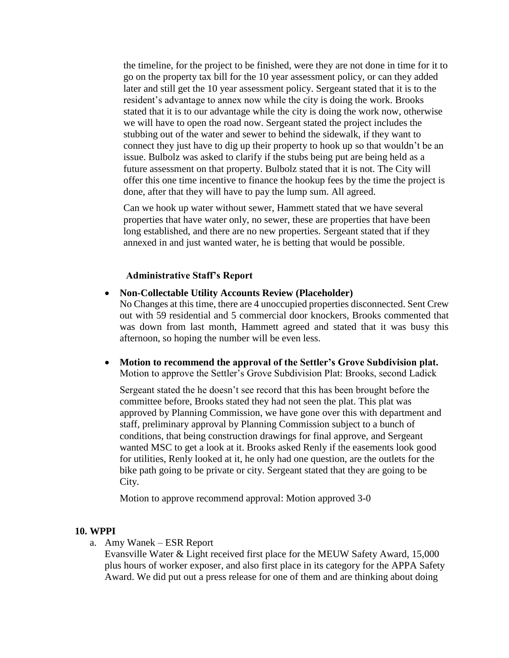the timeline, for the project to be finished, were they are not done in time for it to go on the property tax bill for the 10 year assessment policy, or can they added later and still get the 10 year assessment policy. Sergeant stated that it is to the resident's advantage to annex now while the city is doing the work. Brooks stated that it is to our advantage while the city is doing the work now, otherwise we will have to open the road now. Sergeant stated the project includes the stubbing out of the water and sewer to behind the sidewalk, if they want to connect they just have to dig up their property to hook up so that wouldn't be an issue. Bulbolz was asked to clarify if the stubs being put are being held as a future assessment on that property. Bulbolz stated that it is not. The City will offer this one time incentive to finance the hookup fees by the time the project is done, after that they will have to pay the lump sum. All agreed.

Can we hook up water without sewer, Hammett stated that we have several properties that have water only, no sewer, these are properties that have been long established, and there are no new properties. Sergeant stated that if they annexed in and just wanted water, he is betting that would be possible.

### **Administrative Staff's Report**

 **Non-Collectable Utility Accounts Review (Placeholder)** No Changes at this time, there are 4 unoccupied properties disconnected. Sent Crew

out with 59 residential and 5 commercial door knockers, Brooks commented that was down from last month, Hammett agreed and stated that it was busy this afternoon, so hoping the number will be even less.

 **Motion to recommend the approval of the Settler's Grove Subdivision plat.** Motion to approve the Settler's Grove Subdivision Plat: Brooks, second Ladick

Sergeant stated the he doesn't see record that this has been brought before the committee before, Brooks stated they had not seen the plat. This plat was approved by Planning Commission, we have gone over this with department and staff, preliminary approval by Planning Commission subject to a bunch of conditions, that being construction drawings for final approve, and Sergeant wanted MSC to get a look at it. Brooks asked Renly if the easements look good for utilities, Renly looked at it, he only had one question, are the outlets for the bike path going to be private or city. Sergeant stated that they are going to be City.

Motion to approve recommend approval: Motion approved 3-0

#### **10. WPPI**

a. Amy Wanek – ESR Report

Evansville Water & Light received first place for the MEUW Safety Award, 15,000 plus hours of worker exposer, and also first place in its category for the APPA Safety Award. We did put out a press release for one of them and are thinking about doing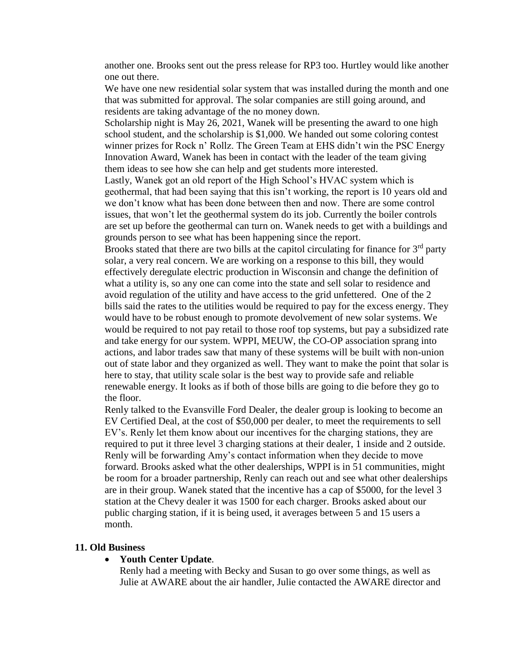another one. Brooks sent out the press release for RP3 too. Hurtley would like another one out there.

We have one new residential solar system that was installed during the month and one that was submitted for approval. The solar companies are still going around, and residents are taking advantage of the no money down.

Scholarship night is May 26, 2021, Wanek will be presenting the award to one high school student, and the scholarship is \$1,000. We handed out some coloring contest winner prizes for Rock n' Rollz. The Green Team at EHS didn't win the PSC Energy Innovation Award, Wanek has been in contact with the leader of the team giving them ideas to see how she can help and get students more interested.

Lastly, Wanek got an old report of the High School's HVAC system which is geothermal, that had been saying that this isn't working, the report is 10 years old and we don't know what has been done between then and now. There are some control issues, that won't let the geothermal system do its job. Currently the boiler controls are set up before the geothermal can turn on. Wanek needs to get with a buildings and grounds person to see what has been happening since the report.

Brooks stated that there are two bills at the capitol circulating for finance for  $3<sup>rd</sup>$  party solar, a very real concern. We are working on a response to this bill, they would effectively deregulate electric production in Wisconsin and change the definition of what a utility is, so any one can come into the state and sell solar to residence and avoid regulation of the utility and have access to the grid unfettered. One of the 2 bills said the rates to the utilities would be required to pay for the excess energy. They would have to be robust enough to promote devolvement of new solar systems. We would be required to not pay retail to those roof top systems, but pay a subsidized rate and take energy for our system. WPPI, MEUW, the CO-OP association sprang into actions, and labor trades saw that many of these systems will be built with non-union out of state labor and they organized as well. They want to make the point that solar is here to stay, that utility scale solar is the best way to provide safe and reliable renewable energy. It looks as if both of those bills are going to die before they go to the floor.

Renly talked to the Evansville Ford Dealer, the dealer group is looking to become an EV Certified Deal, at the cost of \$50,000 per dealer, to meet the requirements to sell EV's. Renly let them know about our incentives for the charging stations, they are required to put it three level 3 charging stations at their dealer, 1 inside and 2 outside. Renly will be forwarding Amy's contact information when they decide to move forward. Brooks asked what the other dealerships, WPPI is in 51 communities, might be room for a broader partnership, Renly can reach out and see what other dealerships are in their group. Wanek stated that the incentive has a cap of \$5000, for the level 3 station at the Chevy dealer it was 1500 for each charger. Brooks asked about our public charging station, if it is being used, it averages between 5 and 15 users a month.

#### **11. Old Business**

### **Youth Center Update**.

Renly had a meeting with Becky and Susan to go over some things, as well as Julie at AWARE about the air handler, Julie contacted the AWARE director and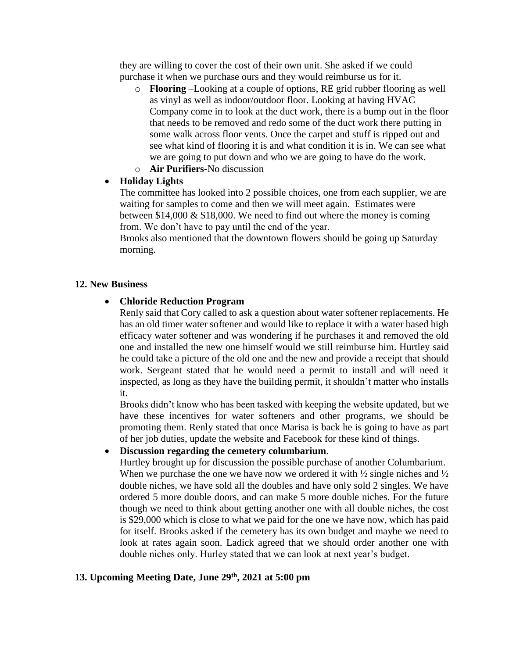they are willing to cover the cost of their own unit. She asked if we could purchase it when we purchase ours and they would reimburse us for it.

- o **Flooring** –Looking at a couple of options, RE grid rubber flooring as well as vinyl as well as indoor/outdoor floor. Looking at having HVAC Company come in to look at the duct work, there is a bump out in the floor that needs to be removed and redo some of the duct work there putting in some walk across floor vents. Once the carpet and stuff is ripped out and see what kind of flooring it is and what condition it is in. We can see what we are going to put down and who we are going to have do the work.
- o **Air Purifiers-**No discussion

# **Holiday Lights**

The committee has looked into 2 possible choices, one from each supplier, we are waiting for samples to come and then we will meet again. Estimates were between \$14,000 & \$18,000. We need to find out where the money is coming from. We don't have to pay until the end of the year.

Brooks also mentioned that the downtown flowers should be going up Saturday morning.

### **12. New Business**

### **Chloride Reduction Program**

Renly said that Cory called to ask a question about water softener replacements. He has an old timer water softener and would like to replace it with a water based high efficacy water softener and was wondering if he purchases it and removed the old one and installed the new one himself would we still reimburse him. Hurtley said he could take a picture of the old one and the new and provide a receipt that should work. Sergeant stated that he would need a permit to install and will need it inspected, as long as they have the building permit, it shouldn't matter who installs it.

Brooks didn't know who has been tasked with keeping the website updated, but we have these incentives for water softeners and other programs, we should be promoting them. Renly stated that once Marisa is back he is going to have as part of her job duties, update the website and Facebook for these kind of things.

# **Discussion regarding the cemetery columbarium**.

Hurtley brought up for discussion the possible purchase of another Columbarium. When we purchase the one we have now we ordered it with  $\frac{1}{2}$  single niches and  $\frac{1}{2}$ double niches, we have sold all the doubles and have only sold 2 singles. We have ordered 5 more double doors, and can make 5 more double niches. For the future though we need to think about getting another one with all double niches, the cost is \$29,000 which is close to what we paid for the one we have now, which has paid for itself. Brooks asked if the cemetery has its own budget and maybe we need to look at rates again soon. Ladick agreed that we should order another one with double niches only. Hurley stated that we can look at next year's budget.

# **13. Upcoming Meeting Date, June 29th, 2021 at 5:00 pm**